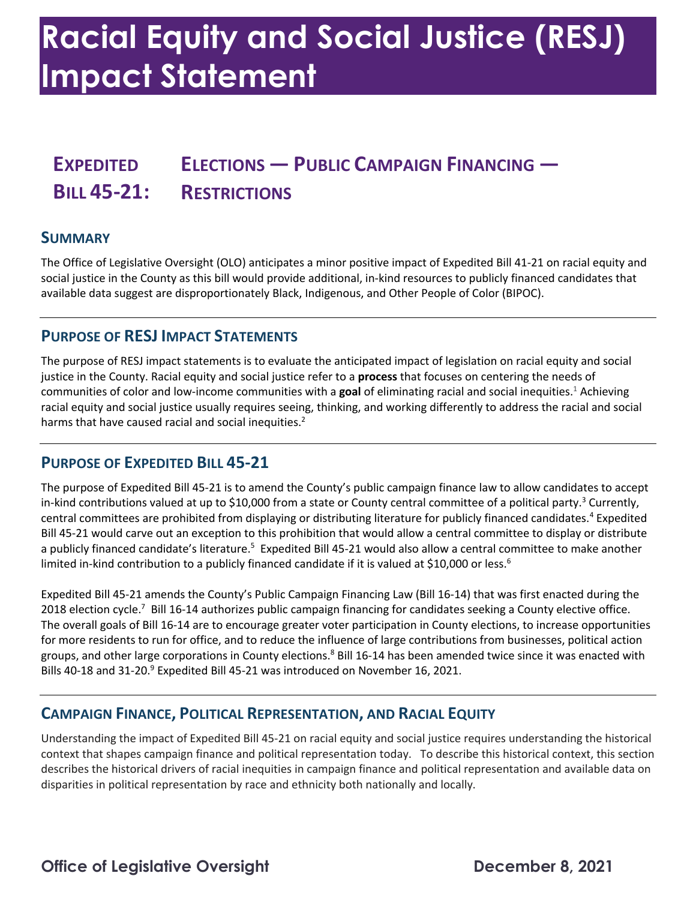## **Racial Equity and Social Justice (RESJ) Impact Statement**

### **EXPEDITED ELECTIONS — PUBLIC CAMPAIGN FINANCING — BILL 45-21: RESTRICTIONS**

#### **SUMMARY**

 The Office of Legislative Oversight (OLO) anticipates a minor positive impact of Expedited Bill 41-21 on racial equity and social justice in the County as this bill would provide additional, in-kind resources to publicly financed candidates that available data suggest are disproportionately Black, Indigenous, and Other People of Color (BIPOC).

#### **PURPOSE OF RESJ IMPACT STATEMENTS**

 The purpose of RESJ impact statements is to evaluate the anticipated impact of legislation on racial equity and social justice in the County. Racial equity and social justice refer to a **process** that focuses on centering the needs of communities of color and low-income communities with a **goal** of eliminating racial and social inequities.1 Achieving racial equity and social justice usually requires seeing, thinking, and working differently to address the racial and social harms that have caused racial and social inequities.<sup>2</sup>

#### **PURPOSE OF EXPEDITED BILL 45-21**

 The purpose of Expedited Bill 45-21 is to amend the County's public campaign finance law to allow candidates to accept in-kind contributions valued at up to \$10,000 from a state or County central committee of a political party.<sup>3</sup> Currently, Bill 45-21 would carve out an exception to this prohibition that would allow a central committee to display or distribute a publicly financed candidate's literature.<sup>5</sup> Expedited Bill 45-21 would also allow a central committee to make another limited in-kind contribution to a publicly financed candidate if it is valued at \$10,000 or less.<sup>6</sup> central committees are prohibited from displaying or distributing literature for publicly financed candidates.<sup>4</sup> Expedited

 Expedited Bill 45-21 amends the County's Public Campaign Financing Law (Bill 16-14) that was first enacted during the 2018 election cycle.<sup>7</sup> Bill 16-14 authorizes public campaign financing for candidates seeking a County elective office. The overall goals of Bill 16-14 are to encourage greater voter participation in County elections, to increase opportunities for more residents to run for office, and to reduce the influence of large contributions from businesses, political action groups, and other large corporations in County elections.<sup>8</sup> Bill 16-14 has been amended twice since it was enacted with Bills 40-18 and 31-20.<sup>9</sup> Expedited Bill 45-21 was introduced on November 16, 2021.

#### **CAMPAIGN FINANCE, POLITICAL REPRESENTATION, AND RACIAL EQUITY**

 Understanding the impact of Expedited Bill 45-21 on racial equity and social justice requires understanding the historical context that shapes campaign finance and political representation today. To describe this historical context, this section describes the historical drivers of racial inequities in campaign finance and political representation and available data on disparities in political representation by race and ethnicity both nationally and locally.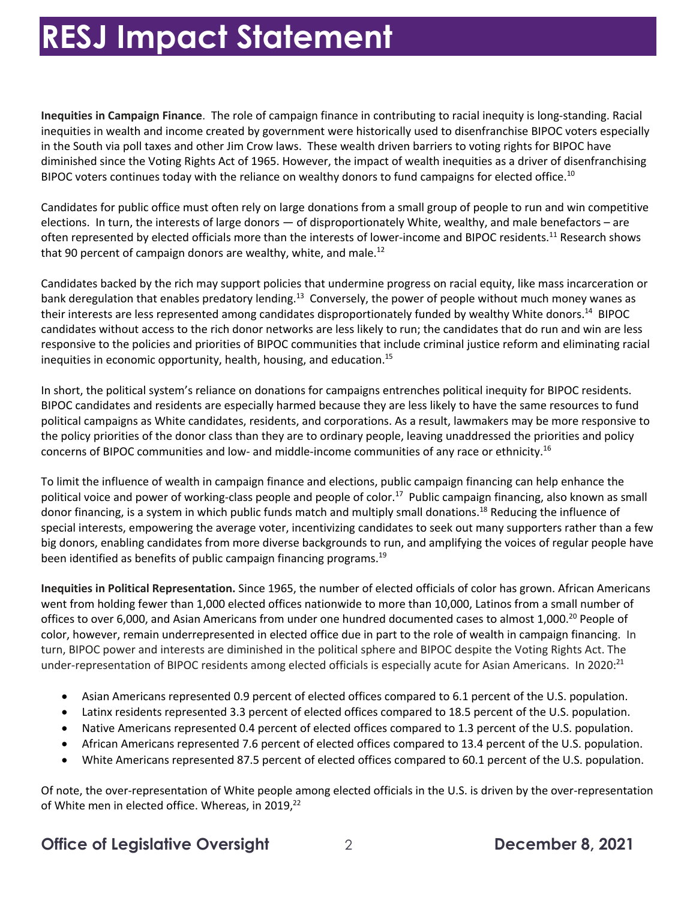**Inequities in Campaign Finance**. The role of campaign finance in contributing to racial inequity is long-standing. Racial in the South via poll taxes and other Jim Crow laws. These wealth driven barriers to voting rights for BIPOC have diminished since the Voting Rights Act of 1965. However, the impact of wealth inequities as a driver of disenfranchising BIPOC voters continues today with the reliance on wealthy donors to fund campaigns for elected office.<sup>10</sup> inequities in wealth and income created by government were historically used to disenfranchise BIPOC voters especially

 Candidates for public office must often rely on large donations from a small group of people to run and win competitive elections. In turn, the interests of large donors — of disproportionately White, wealthy, and male benefactors – are often represented by elected officials more than the interests of lower-income and BIPOC residents.<sup>11</sup> Research shows that 90 percent of campaign donors are wealthy, white, and male.<sup>12</sup>

 Candidates backed by the rich may support policies that undermine progress on racial equity, like mass incarceration or bank deregulation that enables predatory lending.<sup>13</sup> Conversely, the power of people without much money wanes as their interests are less represented among candidates disproportionately funded by wealthy White donors.<sup>14</sup> BIPOC responsive to the policies and priorities of BIPOC communities that include criminal justice reform and eliminating racial candidates without access to the rich donor networks are less likely to run; the candidates that do run and win are less inequities in economic opportunity, health, housing, and education.<sup>15</sup>

 In short, the political system's reliance on donations for campaigns entrenches political inequity for BIPOC residents. BIPOC candidates and residents are especially harmed because they are less likely to have the same resources to fund political campaigns as White candidates, residents, and corporations. As a result, lawmakers may be more responsive to the policy priorities of the donor class than they are to ordinary people, leaving unaddressed the priorities and policy concerns of BIPOC communities and low- and middle-income communities of any race or [ethnicity.](https://ethnicity.16)<sup>16</sup>

 To limit the influence of wealth in campaign finance and elections, public campaign financing can help enhance the political voice and power of working-class people and people of color.<sup>17</sup> Public campaign financing, also known as small donor financing, is a system in which public funds match and multiply small donations.<sup>18</sup> Reducing the influence of special interests, empowering the average voter, incentivizing candidates to seek out many supporters rather than a few big donors, enabling candidates from more diverse backgrounds to run, and amplifying the voices of regular people have been identified as benefits of public campaign financing programs.<sup>19</sup>

 **Inequities in Political Representation.** Since 1965, the number of elected officials of color has grown. African Americans went from holding fewer than 1,000 elected offices nationwide to more than 10,000, Latinos from a small number of offices to over 6,000, and Asian Americans from under one hundred documented cases to almost 1,000.<sup>20</sup> People of color, however, remain underrepresented in elected office due in part to the role of wealth in campaign financing. In turn, BIPOC power and interests are diminished in the political sphere and BIPOC despite the Voting Rights Act. The under-representation of BIPOC residents among elected officials is especially acute for Asian Americans. In 2020:<sup>21</sup>

- Asian Americans represented 0.9 percent of elected offices compared to 6.1 percent of the U.S. population.
- Latinx residents represented 3.3 percent of elected offices compared to 18.5 percent of the U.S. population.
- Native Americans represented 0.4 percent of elected offices compared to 1.3 percent of the U.S. population.
- African Americans represented 7.6 percent of elected offices compared to 13.4 percent of the U.S. population.
- White Americans represented 87.5 percent of elected offices compared to 60.1 percent of the U.S. population.

 Of note, the over-representation of White people among elected officials in the U.S. is driven by the over-representation of White men in elected office. Whereas, in 2019,<sup>22</sup>

#### **Office of Legislative Oversight** 2 **December 8, 2021**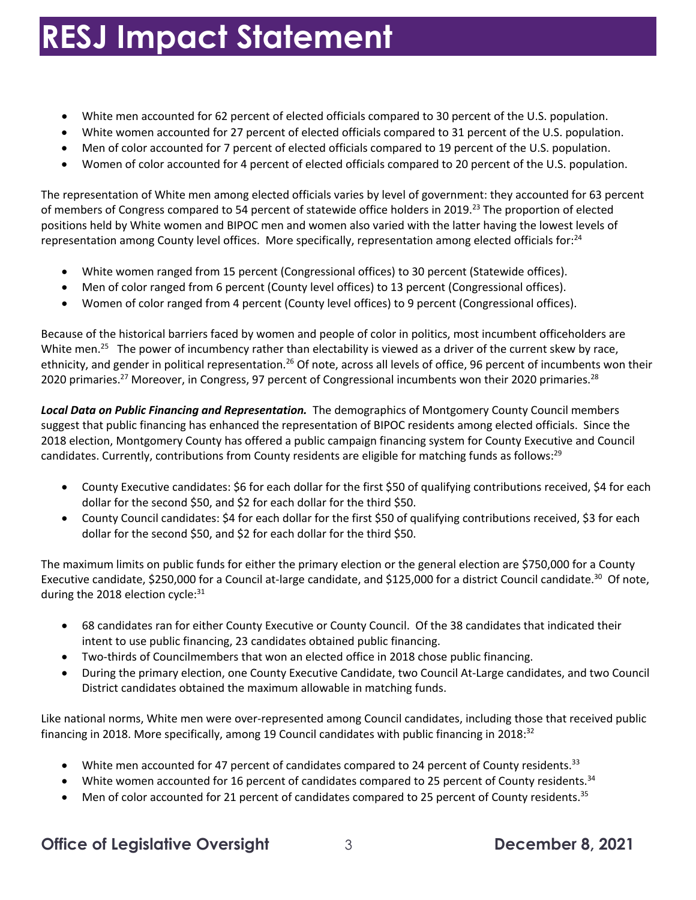- White men accounted for 62 percent of elected officials compared to 30 percent of the U.S. population.
- White women accounted for 27 percent of elected officials compared to 31 percent of the U.S. population.
- Men of color accounted for 7 percent of elected officials compared to 19 percent of the U.S. population.
- Women of color accounted for 4 percent of elected officials compared to 20 percent of the U.S. population.

 The representation of White men among elected officials varies by level of government: they accounted for 63 percent of members of Congress compared to 54 percent of statewide office holders in 2019.<sup>23</sup> The proportion of elected positions held by White women and BIPOC men and women also varied with the latter having the lowest levels of representation among County level offices. More specifically, representation among elected officials for:<sup>24</sup>

- White women ranged from 15 percent (Congressional offices) to 30 percent (Statewide offices).
- Men of color ranged from 6 percent (County level offices) to 13 percent (Congressional offices).
- Women of color ranged from 4 percent (County level offices) to 9 percent (Congressional offices).

 Because of the historical barriers faced by women and people of color in politics, most incumbent officeholders are White men.<sup>25</sup> The power of incumbency rather than electability is viewed as a driver of the current skew by race, ethnicity, and gender in political representation.<sup>26</sup> Of note, across all levels of office, 96 percent of incumbents won their 2020 primaries.<sup>27</sup> Moreover, in Congress, 97 percent of Congressional incumbents won their 2020 primaries.<sup>28</sup>

 suggest that public financing has enhanced the representation of BIPOC residents among elected officials. Since the 2018 election, Montgomery County has offered a public campaign financing system for County Executive and Council candidates. Currently, contributions from County residents are eligible for matching funds as follows:<sup>29</sup> *Local Data on Public Financing and Representation.* The demographics of Montgomery County Council members

- • County Executive candidates: \$6 for each dollar for the first \$50 of qualifying contributions received, \$4 for each dollar for the second \$50, and \$2 for each dollar for the third \$50.
- • County Council candidates: \$4 for each dollar for the first \$50 of qualifying contributions received, \$3 for each dollar for the second \$50, and \$2 for each dollar for the third \$50.

 The maximum limits on public funds for either the primary election or the general election are \$750,000 for a County Executive candidate, \$250,000 for a Council at-large candidate, and \$125,000 for a district Council candidate.<sup>30</sup> Of note, during the 2018 election cycle: $31$ 

- • 68 candidates ran for either County Executive or County Council. Of the 38 candidates that indicated their intent to use public financing, 23 candidates obtained public financing.
- Two-thirds of Councilmembers that won an elected office in 2018 chose public financing.
- • During the primary election, one County Executive Candidate, two Council At-Large candidates, and two Council District candidates obtained the maximum allowable in matching funds.

 Like national norms, White men were over-represented among Council candidates, including those that received public financing in 2018. More specifically, among 19 Council candidates with public financing in 2018:<sup>32</sup>

- White men accounted for 47 percent of candidates compared to 24 percent of County [residents.](https://residents.33)<sup>33</sup>
- White women accounted for 16 percent of candidates compared to 25 percent of County [residents.](https://residents.34)<sup>34</sup>
- Men of color accounted for 21 percent of candidates compared to 25 percent of County [residents.](https://residents.35)<sup>35</sup>

#### **Office of Legislative Oversight** 3 **December 8, 2021**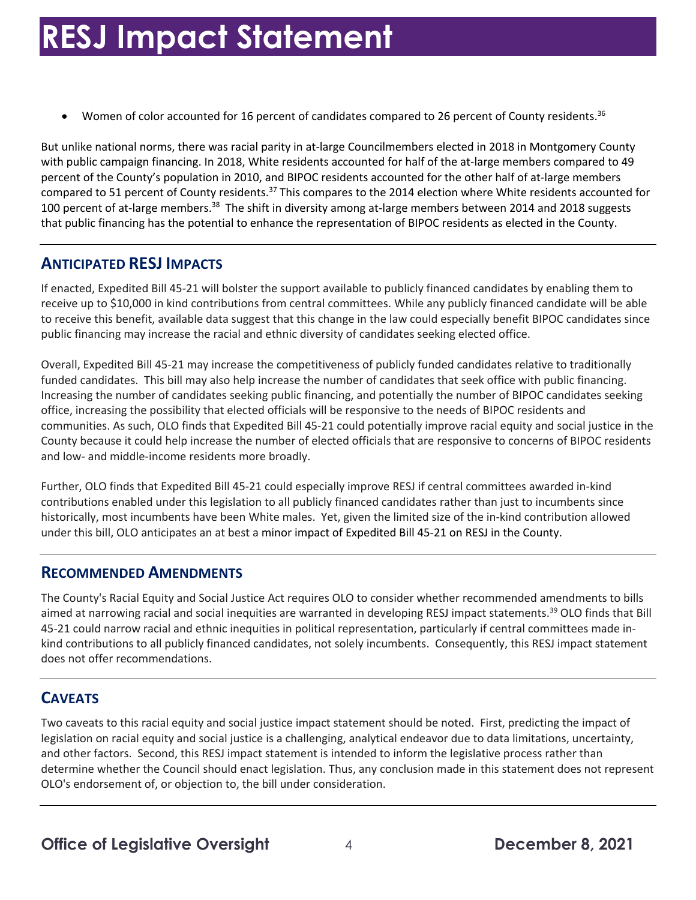• Women of color accounted for 16 percent of candidates compared to 26 percent of County [residents.](https://residents.36)<sup>36</sup>

 But unlike national norms, there was racial parity in at-large Councilmembers elected in 2018 in Montgomery County with public campaign financing. In 2018, White residents accounted for half of the at-large members compared to 49 compared to 51 percent of County residents.<sup>37</sup> This compares to the 2014 election where White residents accounted for 100 percent of at-large members.<sup>38</sup> The shift in diversity among at-large members between 2014 and 2018 suggests that public financing has the potential to enhance the representation of BIPOC residents as elected in the County. percent of the County's population in 2010, and BIPOC residents accounted for the other half of at-large members

#### **ANTICIPATED RESJ IMPACTS**

 If enacted, Expedited Bill 45-21 will bolster the support available to publicly financed candidates by enabling them to receive up to \$10,000 in kind contributions from central committees. While any publicly financed candidate will be able to receive this benefit, available data suggest that this change in the law could especially benefit BIPOC candidates since public financing may increase the racial and ethnic diversity of candidates seeking elected office.

 funded candidates. This bill may also help increase the number of candidates that seek office with public financing. office, increasing the possibility that elected officials will be responsive to the needs of BIPOC residents and communities. As such, OLO finds that Expedited Bill 45-21 could potentially improve racial equity and social justice in the County because it could help increase the number of elected officials that are responsive to concerns of BIPOC residents and low- and middle-income residents more broadly. Overall, Expedited Bill 45-21 may increase the competitiveness of publicly funded candidates relative to traditionally Increasing the number of candidates seeking public financing, and potentially the number of BIPOC candidates seeking

 historically, most incumbents have been White males. Yet, given the limited size of the in-kind contribution allowed under this bill, OLO anticipates an at best a minor impact of Expedited Bill 45-21 on RESJ in the County. Further, OLO finds that Expedited Bill 45-21 could especially improve RESJ if central committees awarded in-kind contributions enabled under this legislation to all publicly financed candidates rather than just to incumbents since

#### **RECOMMENDED AMENDMENTS**

 The County's Racial Equity and Social Justice Act requires OLO to consider whether recommended amendments to bills aimed at narrowing racial and social inequities are warranted in developing RESJ impact statements.<sup>39</sup> OLO finds that Bill 45-21 could narrow racial and ethnic inequities in political representation, particularly if central committees made in- does not offer recommendations. kind contributions to all publicly financed candidates, not solely incumbents. Consequently, this RESJ impact statement

### **CAVEATS**

 Two caveats to this racial equity and social justice impact statement should be noted. First, predicting the impact of and other factors. Second, this RESJ impact statement is intended to inform the legislative process rather than determine whether the Council should enact legislation. Thus, any conclusion made in this statement does not represent OLO's endorsement of, or objection to, the bill under consideration. legislation on racial equity and social justice is a challenging, analytical endeavor due to data limitations, uncertainty,